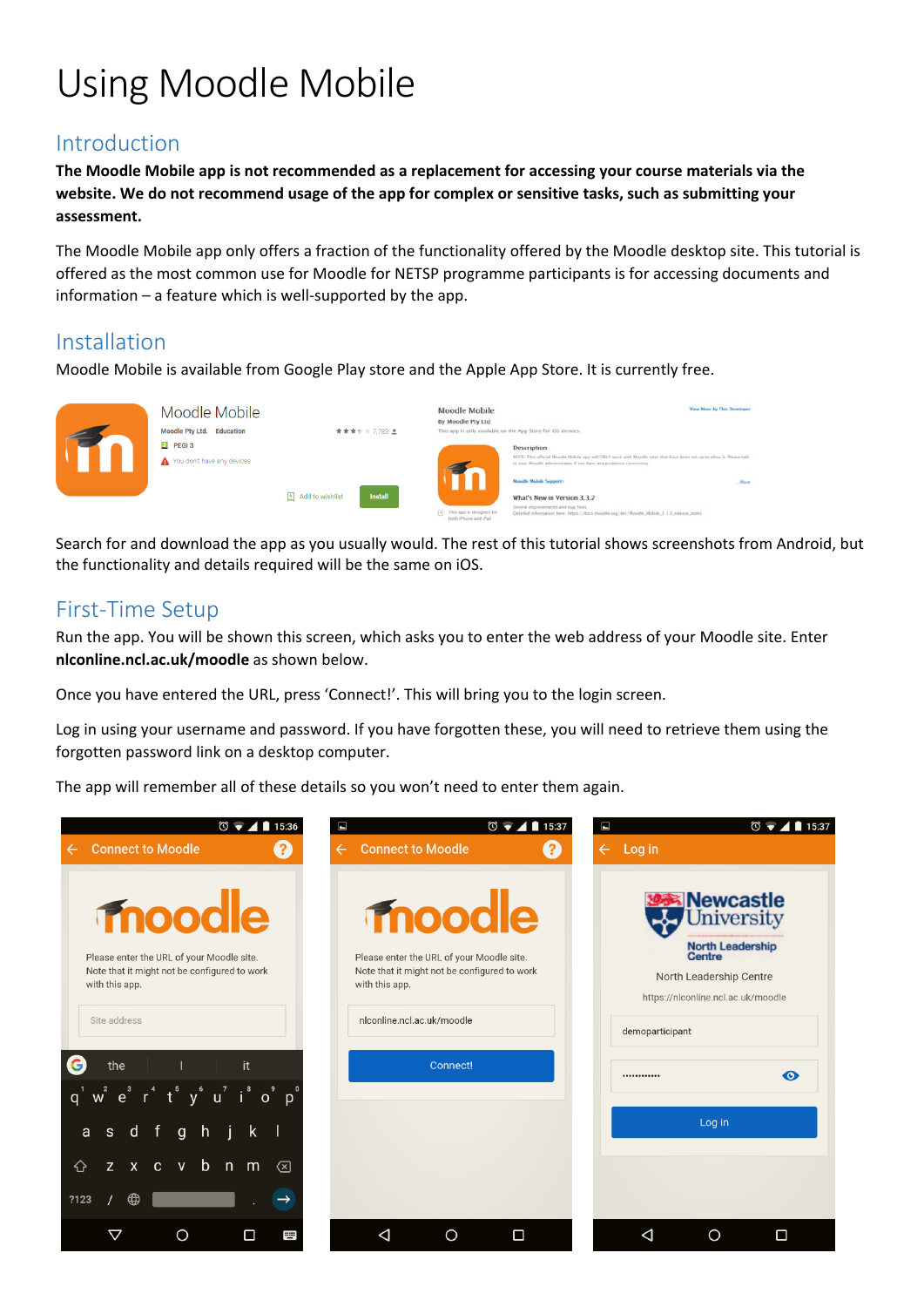# Using Moodle Mobile

### Introduction

**The Moodle Mobile app is not recommended as a replacement for accessing your course materials via the** website. We do not recommend usage of the app for complex or sensitive tasks, such as submitting your **assessment.**

The Moodle Mobile app only offers a fraction of the functionality offered by the Moodle desktop site. This tutorial is offered as the most common use for Moodle for NETSP programme participants is for accessing documents and information – a feature which is well‐supported by the app.

### Installation

Moodle Mobile is available from Google Play store and the Apple App Store. It is currently free.



Search for and download the app as you usually would. The rest of this tutorial shows screenshots from Android, but the functionality and details required will be the same on iOS.

## First‐Time Setup

Run the app. You will be shown this screen, which asks you to enter the web address of your Moodle site. Enter **nlconline.ncl.ac.uk/moodle** as shown below.

Once you have entered the URL, press 'Connect!'. This will bring you to the login screen.

Log in using your username and password. If you have forgotten these, you will need to retrieve them using the forgotten password link on a desktop computer.

The app will remember all of these details so you won't need to enter them again.

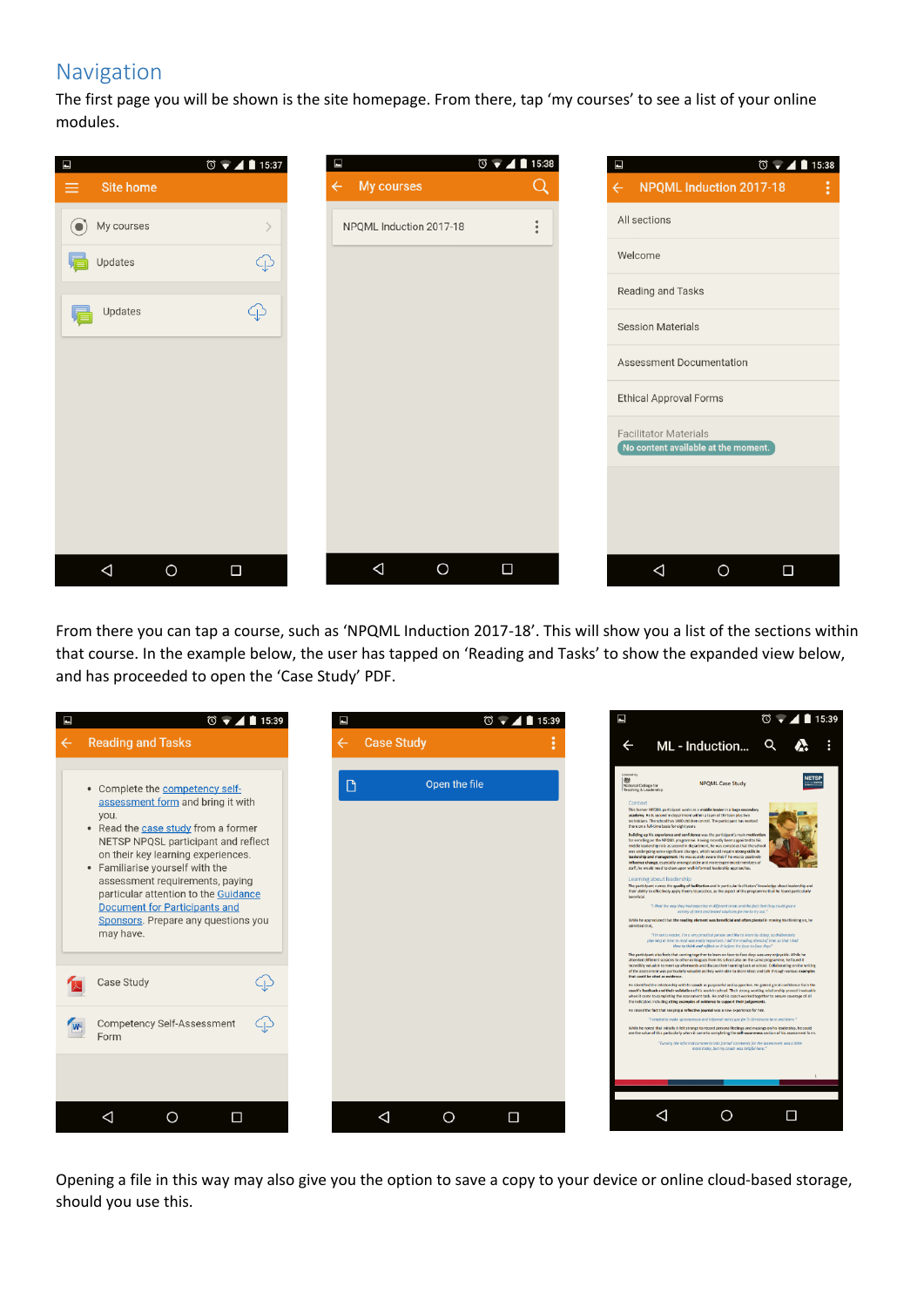## Navigation

The first page you will be shown is the site homepage. From there, tap 'my courses' to see a list of your online modules.



From there you can tap a course, such as 'NPQML Induction 2017‐18'. This will show you a list of the sections within that course. In the example below, the user has tapped on 'Reading and Tasks' to show the expanded view below, and has proceeded to open the 'Case Study' PDF.



Opening a file in this way may also give you the option to save a copy to your device or online cloud‐based storage, should you use this.